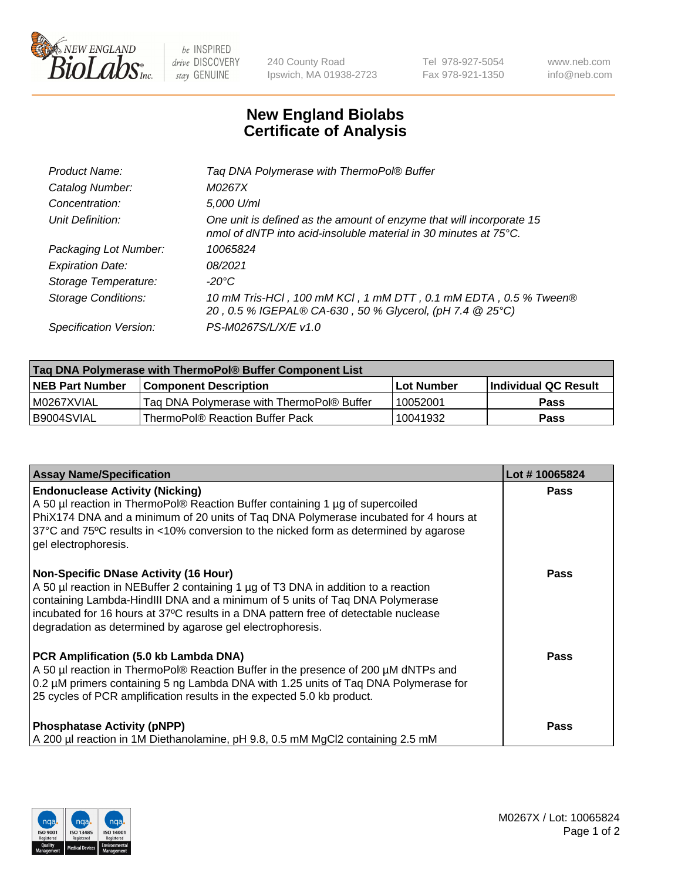

be INSPIRED drive DISCOVERY stay GENUINE

240 County Road Ipswich, MA 01938-2723 Tel 978-927-5054 Fax 978-921-1350 www.neb.com info@neb.com

## **New England Biolabs Certificate of Analysis**

| Tag DNA Polymerase with ThermoPol® Buffer                                                                                                |
|------------------------------------------------------------------------------------------------------------------------------------------|
| M0267X                                                                                                                                   |
| 5,000 U/ml                                                                                                                               |
| One unit is defined as the amount of enzyme that will incorporate 15<br>nmol of dNTP into acid-insoluble material in 30 minutes at 75°C. |
| 10065824                                                                                                                                 |
| 08/2021                                                                                                                                  |
| $-20^{\circ}$ C                                                                                                                          |
| 10 mM Tris-HCl, 100 mM KCl, 1 mM DTT, 0.1 mM EDTA, 0.5 % Tween®<br>20, 0.5 % IGEPAL® CA-630, 50 % Glycerol, (pH 7.4 @ 25°C)              |
| PS-M0267S/L/X/E v1.0                                                                                                                     |
|                                                                                                                                          |

| Tag DNA Polymerase with ThermoPol® Buffer Component List |                                           |                   |                      |  |  |
|----------------------------------------------------------|-------------------------------------------|-------------------|----------------------|--|--|
| <b>NEB Part Number</b>                                   | <b>Component Description</b>              | <b>Lot Number</b> | Individual QC Result |  |  |
| I M0267XVIAL                                             | Tag DNA Polymerase with ThermoPol® Buffer | 10052001          | Pass                 |  |  |
| B9004SVIAL                                               | ThermoPol® Reaction Buffer Pack           | 10041932          | Pass                 |  |  |

| <b>Assay Name/Specification</b>                                                                                                                                                                                                                                                                                                                                        | Lot #10065824 |
|------------------------------------------------------------------------------------------------------------------------------------------------------------------------------------------------------------------------------------------------------------------------------------------------------------------------------------------------------------------------|---------------|
| <b>Endonuclease Activity (Nicking)</b><br>A 50 µl reaction in ThermoPol® Reaction Buffer containing 1 µg of supercoiled<br>PhiX174 DNA and a minimum of 20 units of Taq DNA Polymerase incubated for 4 hours at<br>37°C and 75°C results in <10% conversion to the nicked form as determined by agarose<br>gel electrophoresis.                                        | <b>Pass</b>   |
| <b>Non-Specific DNase Activity (16 Hour)</b><br>A 50 µl reaction in NEBuffer 2 containing 1 µg of T3 DNA in addition to a reaction<br>containing Lambda-HindIII DNA and a minimum of 5 units of Taq DNA Polymerase<br>incubated for 16 hours at 37°C results in a DNA pattern free of detectable nuclease<br>degradation as determined by agarose gel electrophoresis. | <b>Pass</b>   |
| PCR Amplification (5.0 kb Lambda DNA)<br>A 50 µl reaction in ThermoPol® Reaction Buffer in the presence of 200 µM dNTPs and<br>0.2 µM primers containing 5 ng Lambda DNA with 1.25 units of Taq DNA Polymerase for<br>25 cycles of PCR amplification results in the expected 5.0 kb product.                                                                           | Pass          |
| <b>Phosphatase Activity (pNPP)</b><br>A 200 µl reaction in 1M Diethanolamine, pH 9.8, 0.5 mM MgCl2 containing 2.5 mM                                                                                                                                                                                                                                                   | <b>Pass</b>   |